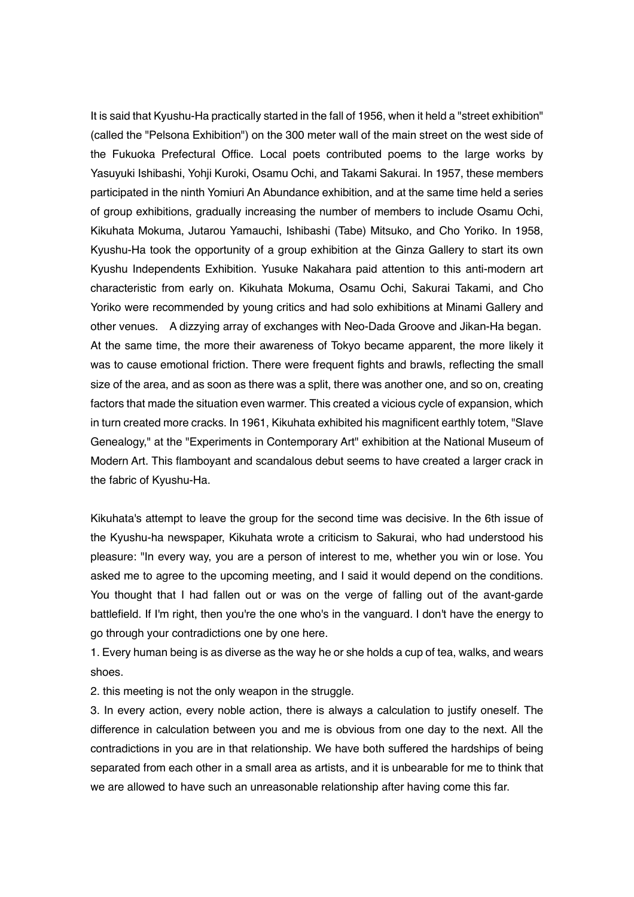It is said that Kyushu-Ha practically started in the fall of 1956, when it held a "street exhibition" (called the "Pelsona Exhibition") on the 300 meter wall of the main street on the west side of the Fukuoka Prefectural Office. Local poets contributed poems to the large works by Yasuyuki Ishibashi, Yohji Kuroki, Osamu Ochi, and Takami Sakurai. In 1957, these members participated in the ninth Yomiuri An Abundance exhibition, and at the same time held a series of group exhibitions, gradually increasing the number of members to include Osamu Ochi, Kikuhata Mokuma, Jutarou Yamauchi, Ishibashi (Tabe) Mitsuko, and Cho Yoriko. In 1958, Kyushu-Ha took the opportunity of a group exhibition at the Ginza Gallery to start its own Kyushu Independents Exhibition. Yusuke Nakahara paid attention to this anti-modern art characteristic from early on. Kikuhata Mokuma, Osamu Ochi, Sakurai Takami, and Cho Yoriko were recommended by young critics and had solo exhibitions at Minami Gallery and other venues. A dizzying array of exchanges with Neo-Dada Groove and Jikan-Ha began. At the same time, the more their awareness of Tokyo became apparent, the more likely it was to cause emotional friction. There were frequent fights and brawls, reflecting the small size of the area, and as soon as there was a split, there was another one, and so on, creating factors that made the situation even warmer. This created a vicious cycle of expansion, which in turn created more cracks. In 1961, Kikuhata exhibited his magnificent earthly totem, "Slave Genealogy," at the "Experiments in Contemporary Art" exhibition at the National Museum of Modern Art. This flamboyant and scandalous debut seems to have created a larger crack in the fabric of Kyushu-Ha.

Kikuhata's attempt to leave the group for the second time was decisive. In the 6th issue of the Kyushu-ha newspaper, Kikuhata wrote a criticism to Sakurai, who had understood his pleasure: "In every way, you are a person of interest to me, whether you win or lose. You asked me to agree to the upcoming meeting, and I said it would depend on the conditions. You thought that I had fallen out or was on the verge of falling out of the avant-garde battlefield. If I'm right, then you're the one who's in the vanguard. I don't have the energy to go through your contradictions one by one here.

1. Every human being is as diverse as the way he or she holds a cup of tea, walks, and wears shoes.

2. this meeting is not the only weapon in the struggle.

3. In every action, every noble action, there is always a calculation to justify oneself. The difference in calculation between you and me is obvious from one day to the next. All the contradictions in you are in that relationship. We have both suffered the hardships of being separated from each other in a small area as artists, and it is unbearable for me to think that we are allowed to have such an unreasonable relationship after having come this far.